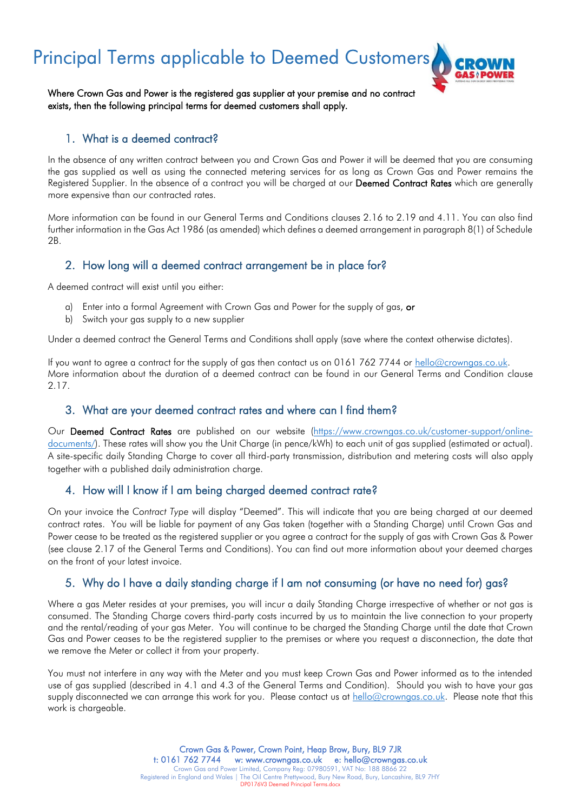Principal Terms applicable to Deemed Customers,



Where Crown Gas and Power is the registered gas supplier at your premise and no contract exists, then the following principal terms for deemed customers shall apply.

#### 1. What is a deemed contract?

In the absence of any written contract between you and Crown Gas and Power it will be deemed that you are consuming the gas supplied as well as using the connected metering services for as long as Crown Gas and Power remains the Registered Supplier. In the absence of a contract you will be charged at our Deemed Contract Rates which are generally more expensive than our contracted rates.

More information can be found in our General Terms and Conditions clauses 2.16 to 2.19 and 4.11. You can also find further information in the Gas Act 1986 (as amended) which defines a deemed arrangement in paragraph 8(1) of Schedule 2B.

# 2. How long will a deemed contract arrangement be in place for?

A deemed contract will exist until you either:

- a) Enter into a formal Agreement with Crown Gas and Power for the supply of gas, or
- b) Switch your gas supply to a new supplier

Under a deemed contract the General Terms and Conditions shall apply (save where the context otherwise dictates).

If you want to agree a contract for the supply of gas then contact us on 0161 762 7744 or [hello@crowngas.co.uk.](mailto:hello@crowngas.co.uk) More information about the duration of a deemed contract can be found in our General Terms and Condition clause 2.17.

### 3. What are your deemed contract rates and where can I find them?

Our Deemed Contract Rates are published on our website [\(https://www.crowngas.co.uk/customer-support/online](https://www.crowngas.co.uk/customer-support/online-documents/)[documents/\)](https://www.crowngas.co.uk/customer-support/online-documents/). These rates will show you the Unit Charge (in pence/kWh) to each unit of gas supplied (estimated or actual). A site-specific daily Standing Charge to cover all third-party transmission, distribution and metering costs will also apply together with a published daily administration charge.

# 4. How will I know if I am being charged deemed contract rate?

On your invoice the *Contract Type* will display "Deemed". This will indicate that you are being charged at our deemed contract rates. You will be liable for payment of any Gas taken (together with a Standing Charge) until Crown Gas and Power cease to be treated as the registered supplier or you agree a contract for the supply of gas with Crown Gas & Power (see clause 2.17 of the General Terms and Conditions). You can find out more information about your deemed charges on the front of your latest invoice.

# 5. Why do I have a daily standing charge if I am not consuming (or have no need for) gas?

Where a gas Meter resides at your premises, you will incur a daily Standing Charge irrespective of whether or not gas is consumed. The Standing Charge covers third-party costs incurred by us to maintain the live connection to your property and the rental/reading of your gas Meter. You will continue to be charged the Standing Charge until the date that Crown Gas and Power ceases to be the registered supplier to the premises or where you request a disconnection, the date that we remove the Meter or collect it from your property.

You must not interfere in any way with the Meter and you must keep Crown Gas and Power informed as to the intended use of gas supplied (described in 4.1 and 4.3 of the General Terms and Condition). Should you wish to have your gas supply disconnected we can arrange this work for you. Please contact us at [hello@crowngas.co.uk.](mailto:hello@crowngas.co.uk) Please note that this work is chargeable.